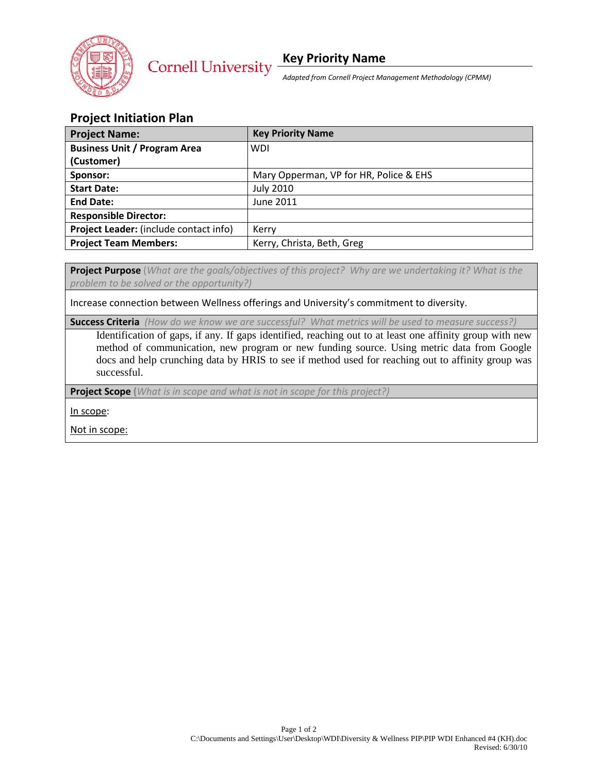

*Adapted from Cornell Project Management Methodology (CPMM)*

## **Project Initiation Plan**

| <b>Project Name:</b>                   | <b>Key Priority Name</b>               |
|----------------------------------------|----------------------------------------|
| <b>Business Unit / Program Area</b>    | <b>WDI</b>                             |
| (Customer)                             |                                        |
| Sponsor:                               | Mary Opperman, VP for HR, Police & EHS |
| <b>Start Date:</b>                     | <b>July 2010</b>                       |
| <b>End Date:</b>                       | June 2011                              |
| <b>Responsible Director:</b>           |                                        |
| Project Leader: (include contact info) | Kerry                                  |
| <b>Project Team Members:</b>           | Kerry, Christa, Beth, Greg             |

**Project Purpose** (*What are the goals/objectives of this project? Why are we undertaking it? What is the problem to be solved or the opportunity?)*

Increase connection between Wellness offerings and University's commitment to diversity.

**Success Criteria** *(How do we know we are successful? What metrics will be used to measure success?)*

Identification of gaps, if any. If gaps identified, reaching out to at least one affinity group with new method of communication, new program or new funding source. Using metric data from Google docs and help crunching data by HRIS to see if method used for reaching out to affinity group was successful.

**Project Scope (***What is in scope and what is not in scope for this project?)*

In scope:

Not in scope: